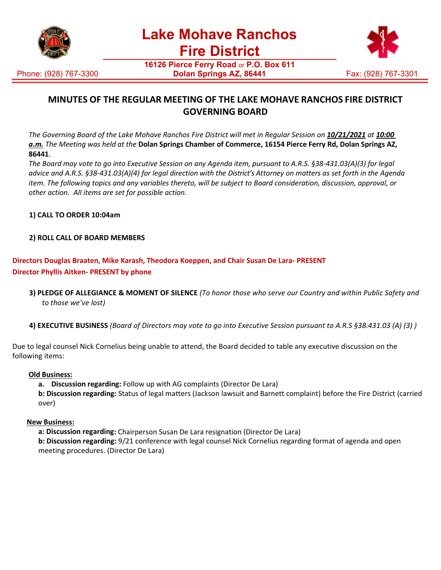

Phone: (928) 767-3300



**16126 Pierce Ferry Road** or **P.O. Box 611 Dolan Springs AZ, 86441** Fax: (928) 767-3301

# **MINUTES OF THE REGULAR MEETING OF THE LAKE MOHAVE RANCHOS FIRE DISTRICT GOVERNING BOARD**

*The Governing Board of the Lake Mohave Ranchos Fire District will met in Regular Session on 10/21/2021 at 10:00 a.m. The Meeting was held at the* **Dolan Springs Chamber of Commerce, 16154 Pierce Ferry Rd, Dolan Springs AZ, 86441**.

*The Board may vote to go into Executive Session on any Agenda item, pursuant to A.R.S. §38-431.03(A)(3) for legal advice and A.R.S. §38-431.03(A)(4) for legal direction with the District's Attorney on matters as set forth in the Agenda item. The following topics and any variables thereto, will be subject to Board consideration, discussion, approval, or other action. All items are set for possible action.*

### **1) CALL TO ORDER 10:04am**

## **2) ROLL CALL OF BOARD MEMBERS**

**Directors Douglas Braaten, Mike Karash, Theodora Koeppen, and Chair Susan De Lara- PRESENT Director Phyllis Aitken- PRESENT by phone**

- **3) PLEDGE OF ALLEGIANCE & MOMENT OF SILENCE** *(To honor those who serve our Country and within Public Safety and to those we've lost)*
- **4) EXECUTIVE BUSINESS** *(Board of Directors may vote to go into Executive Session pursuant to A.R.S §38.431.03 (A) (3) )*

Due to legal counsel Nick Cornelius being unable to attend, the Board decided to table any executive discussion on the following items:

### **Old Business:**

**a. Discussion regarding:** Follow up with AG complaints (Director De Lara)

**b: Discussion regarding:** Status of legal matters (Jackson lawsuit and Barnett complaint) before the Fire District (carried over)

#### **New Business:**

**a: Discussion regarding:** Chairperson Susan De Lara resignation (Director De Lara)

**b: Discussion regarding:** 9/21 conference with legal counsel Nick Cornelius regarding format of agenda and open meeting procedures. (Director De Lara)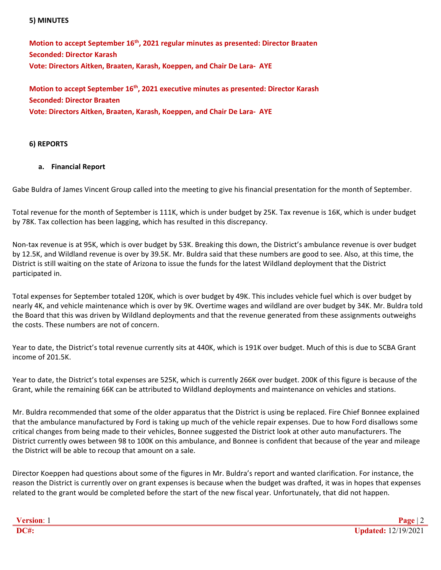#### **5) MINUTES**

Motion to accept September 16<sup>th</sup>, 2021 regular minutes as presented: Director Braaten **Seconded: Director Karash Vote: Directors Aitken, Braaten, Karash, Koeppen, and Chair De Lara- AYE**

**Motion to accept September 16th, 2021 executive minutes as presented: Director Karash Seconded: Director Braaten Vote: Directors Aitken, Braaten, Karash, Koeppen, and Chair De Lara- AYE**

#### **6) REPORTS**

#### **a. Financial Report**

Gabe Buldra of James Vincent Group called into the meeting to give his financial presentation for the month of September.

Total revenue for the month of September is 111K, which is under budget by 25K. Tax revenue is 16K, which is under budget by 78K. Tax collection has been lagging, which has resulted in this discrepancy.

Non-tax revenue is at 95K, which is over budget by 53K. Breaking this down, the District's ambulance revenue is over budget by 12.5K, and Wildland revenue is over by 39.5K. Mr. Buldra said that these numbers are good to see. Also, at this time, the District is still waiting on the state of Arizona to issue the funds for the latest Wildland deployment that the District participated in.

Total expenses for September totaled 120K, which is over budget by 49K. This includes vehicle fuel which is over budget by nearly 4K, and vehicle maintenance which is over by 9K. Overtime wages and wildland are over budget by 34K. Mr. Buldra told the Board that this was driven by Wildland deployments and that the revenue generated from these assignments outweighs the costs. These numbers are not of concern.

Year to date, the District's total revenue currently sits at 440K, which is 191K over budget. Much of this is due to SCBA Grant income of 201.5K.

Year to date, the District's total expenses are 525K, which is currently 266K over budget. 200K of this figure is because of the Grant, while the remaining 66K can be attributed to Wildland deployments and maintenance on vehicles and stations.

Mr. Buldra recommended that some of the older apparatus that the District is using be replaced. Fire Chief Bonnee explained that the ambulance manufactured by Ford is taking up much of the vehicle repair expenses. Due to how Ford disallows some critical changes from being made to their vehicles, Bonnee suggested the District look at other auto manufacturers. The District currently owes between 98 to 100K on this ambulance, and Bonnee is confident that because of the year and mileage the District will be able to recoup that amount on a sale.

Director Koeppen had questions about some of the figures in Mr. Buldra's report and wanted clarification. For instance, the reason the District is currently over on grant expenses is because when the budget was drafted, it was in hopes that expenses related to the grant would be completed before the start of the new fiscal year. Unfortunately, that did not happen.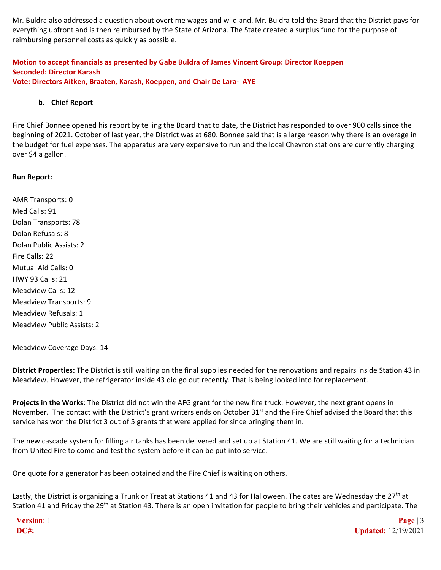Mr. Buldra also addressed a question about overtime wages and wildland. Mr. Buldra told the Board that the District pays for everything upfront and is then reimbursed by the State of Arizona. The State created a surplus fund for the purpose of reimbursing personnel costs as quickly as possible.

#### **Motion to accept financials as presented by Gabe Buldra of James Vincent Group: Director Koeppen Seconded: Director Karash Vote: Directors Aitken, Braaten, Karash, Koeppen, and Chair De Lara- AYE**

### **b. Chief Report**

Fire Chief Bonnee opened his report by telling the Board that to date, the District has responded to over 900 calls since the beginning of 2021. October of last year, the District was at 680. Bonnee said that is a large reason why there is an overage in the budget for fuel expenses. The apparatus are very expensive to run and the local Chevron stations are currently charging over \$4 a gallon.

### **Run Report:**

AMR Transports: 0 Med Calls: 91 Dolan Transports: 78 Dolan Refusals: 8 Dolan Public Assists: 2 Fire Calls: 22 Mutual Aid Calls: 0 HWY 93 Calls: 21 Meadview Calls: 12 Meadview Transports: 9 Meadview Refusals: 1 Meadview Public Assists: 2

Meadview Coverage Days: 14

**District Properties:** The District is still waiting on the final supplies needed for the renovations and repairs inside Station 43 in Meadview. However, the refrigerator inside 43 did go out recently. That is being looked into for replacement.

**Projects in the Works**: The District did not win the AFG grant for the new fire truck. However, the next grant opens in November. The contact with the District's grant writers ends on October 31<sup>st</sup> and the Fire Chief advised the Board that this service has won the District 3 out of 5 grants that were applied for since bringing them in.

The new cascade system for filling air tanks has been delivered and set up at Station 41. We are still waiting for a technician from United Fire to come and test the system before it can be put into service.

One quote for a generator has been obtained and the Fire Chief is waiting on others.

Lastly, the District is organizing a Trunk or Treat at Stations 41 and 43 for Halloween. The dates are Wednesday the 27<sup>th</sup> at Station 41 and Friday the 29<sup>th</sup> at Station 43. There is an open invitation for people to bring their vehicles and participate. The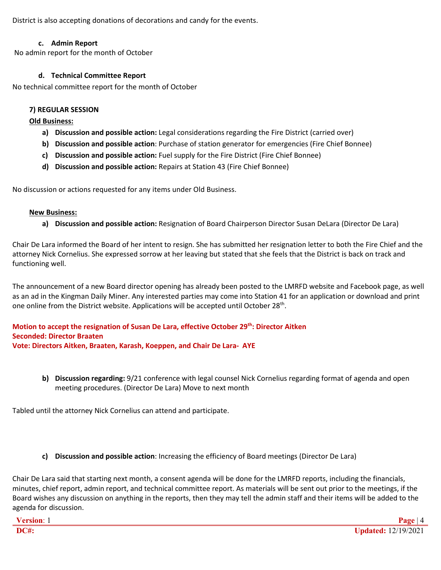District is also accepting donations of decorations and candy for the events.

#### **c. Admin Report**

No admin report for the month of October

### **d. Technical Committee Report**

No technical committee report for the month of October

#### **7) REGULAR SESSION**

**Old Business:**

- **a) Discussion and possible action:** Legal considerations regarding the Fire District (carried over)
- **b) Discussion and possible action**: Purchase of station generator for emergencies (Fire Chief Bonnee)
- **c) Discussion and possible action:** Fuel supply for the Fire District (Fire Chief Bonnee)
- **d) Discussion and possible action:** Repairs at Station 43 (Fire Chief Bonnee)

No discussion or actions requested for any items under Old Business.

#### **New Business:**

**a) Discussion and possible action:** Resignation of Board Chairperson Director Susan DeLara (Director De Lara)

Chair De Lara informed the Board of her intent to resign. She has submitted her resignation letter to both the Fire Chief and the attorney Nick Cornelius. She expressed sorrow at her leaving but stated that she feels that the District is back on track and functioning well.

The announcement of a new Board director opening has already been posted to the LMRFD website and Facebook page, as well as an ad in the Kingman Daily Miner. Any interested parties may come into Station 41 for an application or download and print one online from the District website. Applications will be accepted until October 28th.

#### **Motion to accept the resignation of Susan De Lara, effective October 29th: Director Aitken Seconded: Director Braaten Vote: Directors Aitken, Braaten, Karash, Koeppen, and Chair De Lara- AYE**

**b) Discussion regarding:** 9/21 conference with legal counsel Nick Cornelius regarding format of agenda and open meeting procedures. (Director De Lara) Move to next month

Tabled until the attorney Nick Cornelius can attend and participate.

### **c) Discussion and possible action**: Increasing the efficiency of Board meetings (Director De Lara)

Chair De Lara said that starting next month, a consent agenda will be done for the LMRFD reports, including the financials, minutes, chief report, admin report, and technical committee report. As materials will be sent out prior to the meetings, if the Board wishes any discussion on anything in the reports, then they may tell the admin staff and their items will be added to the agenda for discussion.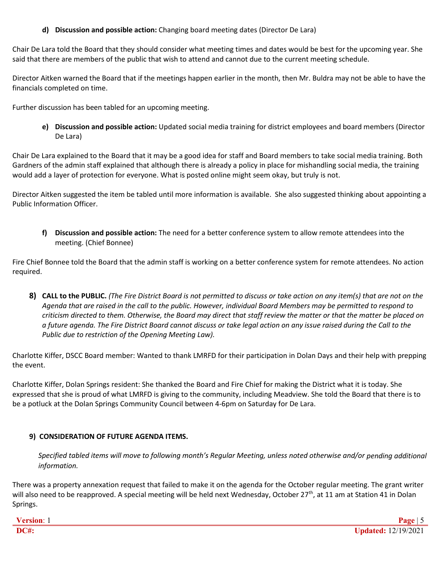**d) Discussion and possible action:** Changing board meeting dates (Director De Lara)

Chair De Lara told the Board that they should consider what meeting times and dates would be best for the upcoming year. She said that there are members of the public that wish to attend and cannot due to the current meeting schedule.

Director Aitken warned the Board that if the meetings happen earlier in the month, then Mr. Buldra may not be able to have the financials completed on time.

Further discussion has been tabled for an upcoming meeting.

**e) Discussion and possible action:** Updated social media training for district employees and board members (Director De Lara)

Chair De Lara explained to the Board that it may be a good idea for staff and Board members to take social media training. Both Gardners of the admin staff explained that although there is already a policy in place for mishandling social media, the training would add a layer of protection for everyone. What is posted online might seem okay, but truly is not.

Director Aitken suggested the item be tabled until more information is available. She also suggested thinking about appointing a Public Information Officer.

**f) Discussion and possible action:** The need for a better conference system to allow remote attendees into the meeting. (Chief Bonnee)

Fire Chief Bonnee told the Board that the admin staff is working on a better conference system for remote attendees. No action required.

8) CALL to the PUBLIC. (The Fire District Board is not permitted to discuss or take action on any item(s) that are not on the *Agenda that are raised in the call to the public. However, individual Board Members may be permitted to respond to criticism directed to them. Otherwise, the Board may direct that staff review the matter or that the matter be placed on a future agenda. The Fire District Board cannot discuss or take legal action on any issue raised during the Call to the Public due to restriction of the Opening Meeting Law).*

Charlotte Kiffer, DSCC Board member: Wanted to thank LMRFD for their participation in Dolan Days and their help with prepping the event.

Charlotte Kiffer, Dolan Springs resident: She thanked the Board and Fire Chief for making the District what it is today. She expressed that she is proud of what LMRFD is giving to the community, including Meadview. She told the Board that there is to be a potluck at the Dolan Springs Community Council between 4-6pm on Saturday for De Lara.

### **9) CONSIDERATION OF FUTURE AGENDA ITEMS.**

*Specified tabled items will move to following month's Regular Meeting, unless noted otherwise and/or pending additional information.*

There was a property annexation request that failed to make it on the agenda for the October regular meeting. The grant writer will also need to be reapproved. A special meeting will be held next Wednesday, October 27<sup>th</sup>, at 11 am at Station 41 in Dolan Springs.

| . .<br>- 1<br>. |  |
|-----------------|--|
|                 |  |